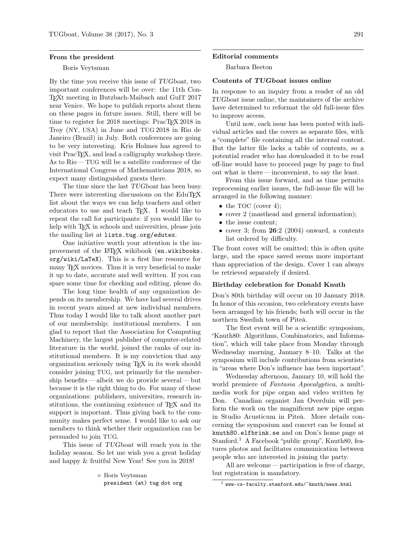### From the president

### Boris Veytsman

By the time you receive this issue of TUGboat, two important conferences will be over: the 11th Con-TEXt meeting in Butzbach-Maibach and GuIT 2017 near Venice. We hope to publish reports about them on these pages in future issues. Still, there will be time to register for 2018 meetings: PracTEX 2018 in Troy (NY, USA) in June and TUG 2018 in Rio de Janeiro (Brazil) in July. Both conferences are going to be very interesting. Kris Holmes has agreed to visit PracT<sub>EX</sub>, and lead a calligraphy workshop there. As to Rio — TUG will be a satellite conference of the International Congress of Mathematicians 2018, so expect many distinguished guests there.

The time since the last TUGboat has been busy. There were interesting discussions on the EduT<sub>EX</sub> list about the ways we can help teachers and other educators to use and teach TEX. I would like to repeat the call for participants: if you would like to help with T<sub>E</sub>X in schools and universities, please join the mailing list at lists.tug.org/edutex.

One initiative worth your attention is the improvement of the LAT<sub>EX</sub> wikibook (en.wikibooks. org/wiki/LaTeX). This is a first line resource for many T<sub>F</sub>X novices. Thus it is very beneficial to make it up to date, accurate and well written. If you can spare some time for checking and editing, please do.

The long time health of any organization depends on its membership. We have had several drives in recent years aimed at new individual members. Thus today I would like to talk about another part of our membership: institutional members. I am glad to report that the Association for Computing Machinery, the largest publisher of computer-related literature in the world, joined the ranks of our institutional members. It is my conviction that any organization seriously using TEX in its work should consider joining TUG, not primarily for the membership benefits— albeit we do provide several— but because it is the right thing to do. For many of these organizations: publishers, universities, research institutions, the continuing existence of T<sub>EX</sub> and its support is important. Thus giving back to the community makes perfect sense. I would like to ask our members to think whether their organization can be persuaded to join TUG.

This issue of TUGboat will reach you in the holiday season. So let me wish you a great holiday and happy & fruitful New Year! See you in 2018!

#### Editorial comments

Barbara Beeton

### Contents of TUGboat issues online

In response to an inquiry from a reader of an old TUGboat issue online, the maintainers of the archive have determined to reformat the old full-issue files to improve access.

Until now, each issue has been posted with individual articles and the covers as separate files, with a "complete" file containing all the internal content. But the latter file lacks a table of contents, so a potential reader who has downloaded it to be read off-line would have to proceed page by page to find out what is there — inconvenient, to say the least.

From this issue forward, and as time permits reprocessing earlier issues, the full-issue file will be arranged in the following manner:

- the TOC (cover 4);
- cover 2 (masthead and general information);
- the issue content;
- cover 3; from  $26:2$  (2004) onward, a contents list ordered by difficulty.

The front cover will be omitted; this is often quite large, and the space saved seems more important than appreciation of the design. Cover 1 can always be retrieved separately if desired.

### Birthday celebration for Donald Knuth

Don's 80th birthday will occur on 10 January 2018. In honor of this occasion, two celebratory events have been arranged by his friends; both will occur in the northern Swedish town of Piteå.

The first event will be a scientific symposium, "Knuth80: Algorithms, Combinatorics, and Information", which will take place from Monday through Wednesday morning, January 8–10. Talks at the symposium will include contributions from scientists in "areas where Don's influence has been important".

Wednesday afternoon, January 10, will hold the world premiere of *Fantasia Apocalyptica*, a multimedia work for pipe organ and video written by Don. Canadian organist Jan Overduin will perform the work on the magnificent new pipe organ in Studio Acusticum in Piteå. More details concerning the symposium and concert can be found at <knuth80.elfbrink.se> and on Don's home page at Stanford.<sup>[1](#page-0-0)</sup> A Facebook "public group", Knuth80, features photos and facilitates communication between people who are interested in joining the party.

All are welcome — participation is free of charge, but registration is mandatory.

Boris Veytsman president (at) tug dot org

<span id="page-0-0"></span><sup>1</sup> <www-cs-faculty.stanford.edu/~knuth/news.html>